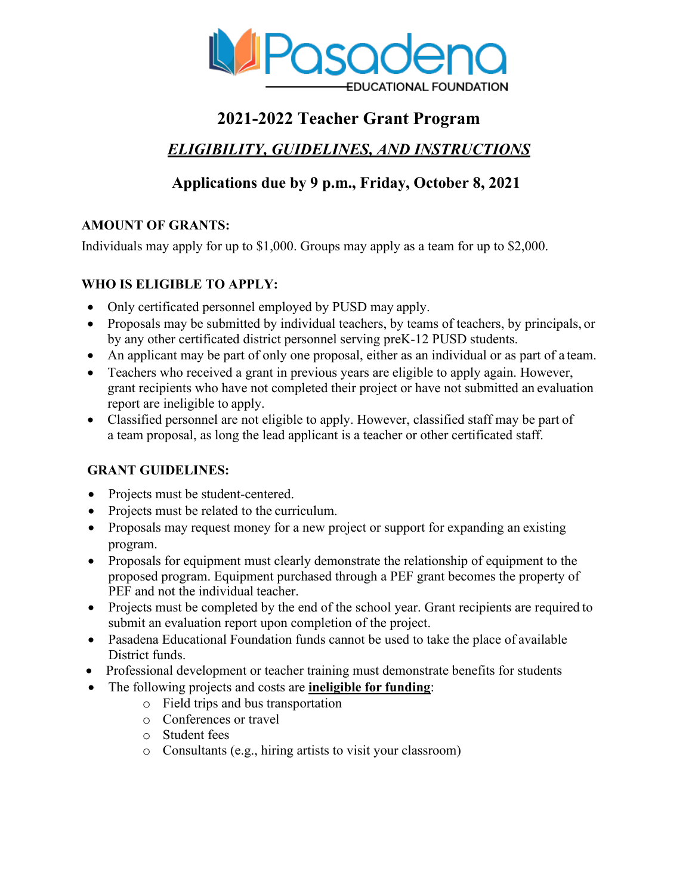

# **2021-2022 Teacher Grant Program**

# *ELIGIBILITY, GUIDELINES, AND INSTRUCTIONS*

# **Applications due by 9 p.m., Friday, October 8, 2021**

# **AMOUNT OF GRANTS:**

Individuals may apply for up to \$1,000. Groups may apply as a team for up to \$2,000.

# **WHO IS ELIGIBLE TO APPLY:**

- Only certificated personnel employed by PUSD may apply.
- Proposals may be submitted by individual teachers, by teams of teachers, by principals, or by any other certificated district personnel serving preK-12 PUSD students.
- An applicant may be part of only one proposal, either as an individual or as part of a team.
- Teachers who received a grant in previous years are eligible to apply again. However, grant recipients who have not completed their project or have not submitted an evaluation report are ineligible to apply.
- Classified personnel are not eligible to apply. However, classified staff may be part of a team proposal, as long the lead applicant is a teacher or other certificated staff.

# **GRANT GUIDELINES:**

- Projects must be student-centered.
- Projects must be related to the curriculum.
- Proposals may request money for a new project or support for expanding an existing program.
- Proposals for equipment must clearly demonstrate the relationship of equipment to the proposed program. Equipment purchased through a PEF grant becomes the property of PEF and not the individual teacher.
- Projects must be completed by the end of the school year. Grant recipients are required to submit an evaluation report upon completion of the project.
- Pasadena Educational Foundation funds cannot be used to take the place of available District funds.
- Professional development or teacher training must demonstrate benefits for students
- The following projects and costs are **ineligible for funding**:
	- o Field trips and bus transportation
	- o Conferences or travel
	- o Student fees
	- o Consultants (e.g., hiring artists to visit your classroom)